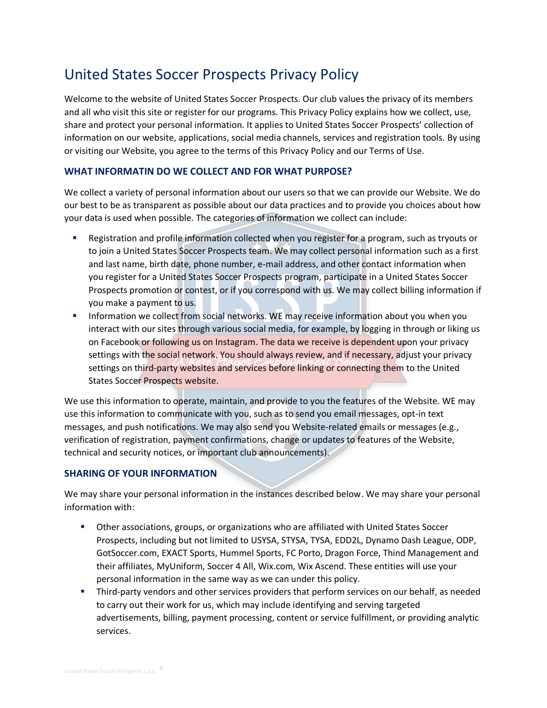# United States Soccer Prospects Privacy Policy

Welcome to the website of United States Soccer Prospects. Our club values the privacy of its members and all who visit this site or register for our programs. This Privacy Policy explains how we collect, use, share and protect your personal information. It applies to United States Soccer Prospects' collection of information on our website, applications, social media channels, services and registration tools. By using or visiting our Website, you agree to the terms of this Privacy Policy and our Terms of Use.

# **WHAT INFORMATIN DO WE COLLECT AND FOR WHAT PURPOSE?**

We collect a variety of personal information about our users so that we can provide our Website. We do our best to be as transparent as possible about our data practices and to provide you choices about how your data is used when possible. The categories of information we collect can include:

- Registration and profile information collected when you register for a program, such as tryouts or to join a United States Soccer Prospects team. We may collect personal information such as a first and last name, birth date, phone number, e-mail address, and other contact information when you register for a United States Soccer Prospects program, participate in a United States Soccer Prospects promotion or contest, or if you correspond with us. We may collect billing information if you make a payment to us.
- **EXECT** Information we collect from social networks. WE may receive information about you when you interact with our sites through various social media, for example, by logging in through or liking us on Facebook or following us on Instagram. The data we receive is dependent upon your privacy settings with the social network. You should always review, and if necessary, adjust your privacy settings on third-party websites and services before linking or connecting them to the United States Soccer Prospects website.

We use this information to operate, maintain, and provide to you the features of the Website. WE may use this information to communicate with you, such as to send you email messages, opt-in text messages, and push notifications. We may also send you Website-related emails or messages (e.g., verification of registration, payment confirmations, change or updates to features of the Website, technical and security notices, or important club announcements).

## **SHARING OF YOUR INFORMATION**

We may share your personal information in the instances described below. We may share your personal information with:

- Other associations, groups, or organizations who are affiliated with United States Soccer Prospects, including but not limited to USYSA, STYSA, TYSA, EDD2L, Dynamo Dash League, ODP, GotSoccer.com, EXACT Sports, Hummel Sports, FC Porto, Dragon Force, Thind Management and their affiliates, MyUniform, Soccer 4 All, Wix.com, Wix Ascend. These entities will use your personal information in the same way as we can under this policy.
- **Third-party vendors and other services providers that perform services on our behalf, as needed** to carry out their work for us, which may include identifying and serving targeted advertisements, billing, payment processing, content or service fulfillment, or providing analytic services.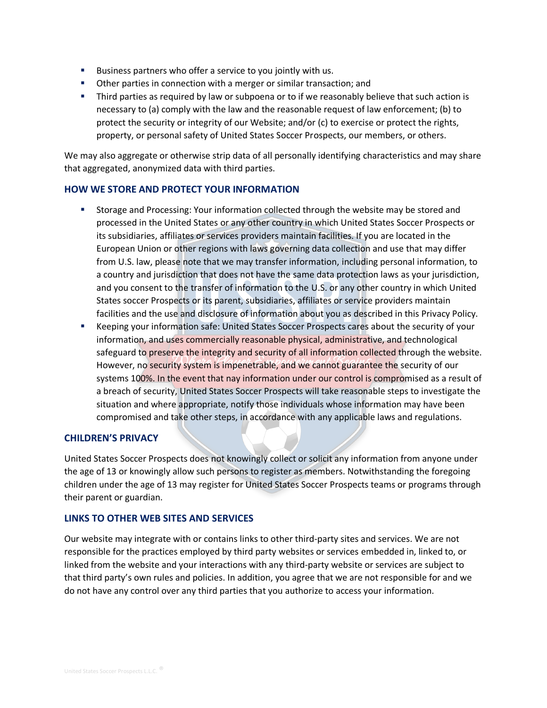- Business partners who offer a service to you jointly with us.
- Other parties in connection with a merger or similar transaction; and
- **E** Third parties as required by law or subpoena or to if we reasonably believe that such action is necessary to (a) comply with the law and the reasonable request of law enforcement; (b) to protect the security or integrity of our Website; and/or (c) to exercise or protect the rights, property, or personal safety of United States Soccer Prospects, our members, or others.

We may also aggregate or otherwise strip data of all personally identifying characteristics and may share that aggregated, anonymized data with third parties.

#### **HOW WE STORE AND PROTECT YOUR INFORMATION**

- Storage and Processing: Your information collected through the website may be stored and processed in the United States or any other country in which United States Soccer Prospects or its subsidiaries, affiliates or services providers maintain facilities. If you are located in the European Union or other regions with laws governing data collection and use that may differ from U.S. law, please note that we may transfer information, including personal information, to a country and jurisdiction that does not have the same data protection laws as your jurisdiction, and you consent to the transfer of information to the U.S. or any other country in which United States soccer Prospects or its parent, subsidiaries, affiliates or service providers maintain facilities and the use and disclosure of information about you as described in this Privacy Policy.
- Keeping your information safe: United States Soccer Prospects cares about the security of your information, and uses commercially reasonable physical, administrative, and technological safeguard to preserve the integrity and security of all information collected through the website. However, no security system is impenetrable, and we cannot guarantee the security of our systems 100%. In the event that nay information under our control is compromised as a result of a breach of security, United States Soccer Prospects will take reasonable steps to investigate the situation and where appropriate, notify those individuals whose information may have been compromised and take other steps, in accordance with any applicable laws and regulations.

#### **CHILDREN'S PRIVACY**

United States Soccer Prospects does not knowingly collect or solicit any information from anyone under the age of 13 or knowingly allow such persons to register as members. Notwithstanding the foregoing children under the age of 13 may register for United States Soccer Prospects teams or programs through their parent or guardian.

#### **LINKS TO OTHER WEB SITES AND SERVICES**

Our website may integrate with or contains links to other third-party sites and services. We are not responsible for the practices employed by third party websites or services embedded in, linked to, or linked from the website and your interactions with any third-party website or services are subject to that third party's own rules and policies. In addition, you agree that we are not responsible for and we do not have any control over any third parties that you authorize to access your information.